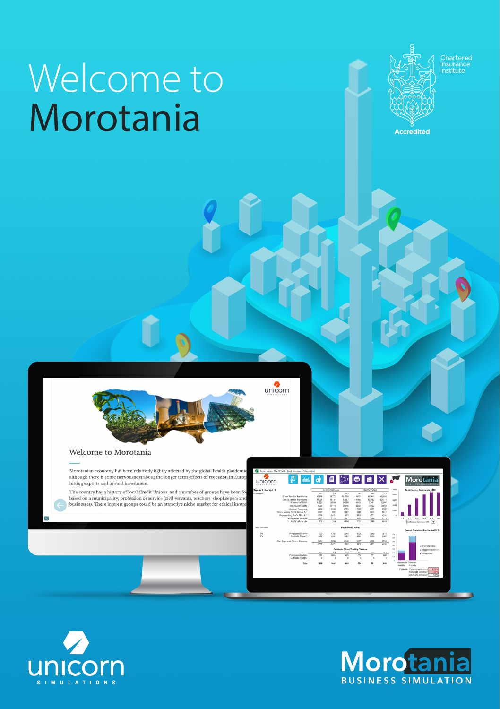## Welcome to Morotania



Chartered<br>nsurance<br>nstitute



#### Welcome to Morotania

Morotanian economy has been relatively lightly affected by the global health pandemi although there is some nervousness about the longer term effects of recession in Europ hitting exports and inward investment

The country has a history of local Credit Unions, and a number of groups have been fo based on a municipality, profession or service (civil servants, teachers, shopkespers and<br>based on a municipality, profession or service (civil servants, teachers, shopkespers and<br>businesses). These interest groups could b

|                       | Monsteria - The World's Rest Insurance Simulation |                                   |             |                            |             |                                                                                                                             |                                       |                            |                                         |          |                                 |                              |     |
|-----------------------|---------------------------------------------------|-----------------------------------|-------------|----------------------------|-------------|-----------------------------------------------------------------------------------------------------------------------------|---------------------------------------|----------------------------|-----------------------------------------|----------|---------------------------------|------------------------------|-----|
| unicorn               |                                                   |                                   |             |                            |             | $\bullet \quad \blacksquare \quad \blacksquare \quad \blacksquare \quad \blacksquare \quad \blacksquare \quad \blacksquare$ |                                       |                            |                                         |          | Morotania<br>USINESS SIMULATION |                              |     |
| am 1 Period 1         | BUSINESS PLAN                                     |                                   |             | PROTECTIONS                |             |                                                                                                                             | 1/WWW.<br>Contribution Commercia 5000 |                            |                                         |          |                                 |                              |     |
| Michael               |                                                   | $\mathbf{v}$                      | m           | w.                         | m a         | ms.                                                                                                                         | m+                                    | eas                        |                                         |          |                                 |                              |     |
|                       | Conce Written Dramburgs                           | 45230                             | TKTTZ       | scenas                     | 118321      | 123443                                                                                                                      | 123090                                |                            |                                         |          |                                 |                              |     |
|                       | Creas Farned Dramburgs                            | 10095                             | 58147       | CODET                      | 111485      | 121332                                                                                                                      | 124375                                | ease                       |                                         |          |                                 |                              |     |
|                       | Claims but IRAD                                   | 19553                             | <b>MAN</b>  | reens                      | 66534       | 73451                                                                                                                       | <b>TYMT</b>                           |                            |                                         |          |                                 |                              |     |
|                       | Distribution costs                                | 5050                              | 17116       | 25616                      | 32367       | 35722                                                                                                                       | 2004                                  | 6300                       |                                         |          |                                 |                              |     |
|                       | <b>General Expenses</b>                           | 4400                              | <b>KNAK</b> | <b>SV4</b>                 | 2335        | M/7                                                                                                                         | <b>STST</b>                           | 3300                       |                                         |          |                                 |                              |     |
|                       | Underwriting Profit Before R/I                    | $-$ MAT                           | <b>ANT</b>  | 2007                       | con         | 6531                                                                                                                        | <b>MAT</b>                            |                            |                                         |          |                                 |                              |     |
|                       | Underwriting Profit After R/I                     | $-3229$                           | $-6421$     | <b>KGST</b>                | 3719        | <b>ATM</b>                                                                                                                  | 4721                                  | ٠                          |                                         |          |                                 |                              |     |
|                       | Investment income                                 | 1433                              | 1771        | 5007                       | <b>MA</b>   | 3256                                                                                                                        | 4269                                  |                            | $\sim 1$                                | 46.2     | 19.3<br>$^{16}$                 | W.S.                         | W.6 |
|                       | <b>Profit before tax</b>                          | $-1900$                           | 350         | ance.                      | 7022        | 7999                                                                                                                        | 9049                                  |                            |                                         |          | Comitation Commercia 900        | $\overline{\phantom{a}}$     |     |
| <b>Pine on Market</b> |                                                   |                                   |             | <b>Underwriting Profit</b> |             |                                                                                                                             |                                       |                            |                                         |          | Earned Premiums by Channel W 3  |                              |     |
| os.                   | Professional Liability                            | sez                               | 1301        | 2613                       | 3329        | 3610                                                                                                                        | 3976                                  |                            |                                         |          |                                 |                              |     |
| m                     | <b>Domestic Property</b>                          | 1172                              | 4501        | 7,437                      | <b>STET</b> | 9006                                                                                                                        | <b>MAT</b>                            | $\boldsymbol{\mathcal{N}}$ |                                         |          |                                 |                              |     |
|                       |                                                   |                                   |             |                            |             |                                                                                                                             |                                       | si.                        |                                         |          |                                 |                              |     |
|                       | Gen Exps and Claims Reserve                       | 5474                              | zvan        | <b>ATAS</b>                | <b>GATT</b> | ans.                                                                                                                        | \$722                                 | 50                         |                                         |          |                                 |                              |     |
|                       |                                                   | 3996                              | <b>HAZT</b> | <b>Harry</b>               | 3746        | $\overline{on}$                                                                                                             | (1)1                                  | e0                         |                                         |          |                                 | Li Direct Marketing          |     |
|                       |                                                   | Reinguner PIL on Working Treaties |             |                            |             |                                                                                                                             |                                       | 30                         |                                         |          |                                 | <b>Q Independent Bridges</b> |     |
|                       |                                                   | w.                                | <b>ALC</b>  | $\sim$                     | <b>MA</b>   | <b>NS</b>                                                                                                                   | 픎                                     | $^{20}$                    |                                         |          | <b>M.Commodators</b>            |                              |     |
|                       | Perdensional Liability                            | $\overline{a}$                    | 1053        | 5405                       | 554         | 631                                                                                                                         |                                       | to.                        |                                         |          |                                 |                              |     |
|                       | Doneste Property                                  | $\circ$                           | ٠           | $\mathbf{c}$               | $\alpha$    | ۰                                                                                                                           | $\circ$                               |                            |                                         |          |                                 |                              |     |
|                       | Total                                             | m                                 | 1651        | 5829                       | 554         | <b>SH1</b>                                                                                                                  | 480                                   |                            | <b>Independent Democity</b><br>uablity. | Prisonly |                                 |                              |     |
|                       |                                                   |                                   |             |                            |             |                                                                                                                             |                                       |                            |                                         |          | Forecast Capacity atlantice     |                              |     |
|                       |                                                   |                                   |             |                            |             |                                                                                                                             |                                       |                            |                                         |          | <b>Fernish Salvescy</b>         |                              |     |
|                       |                                                   |                                   |             |                            |             |                                                                                                                             |                                       |                            |                                         |          |                                 |                              |     |
|                       |                                                   |                                   |             |                            |             |                                                                                                                             |                                       |                            |                                         |          | Mnimum Solvency                 |                              | 50% |



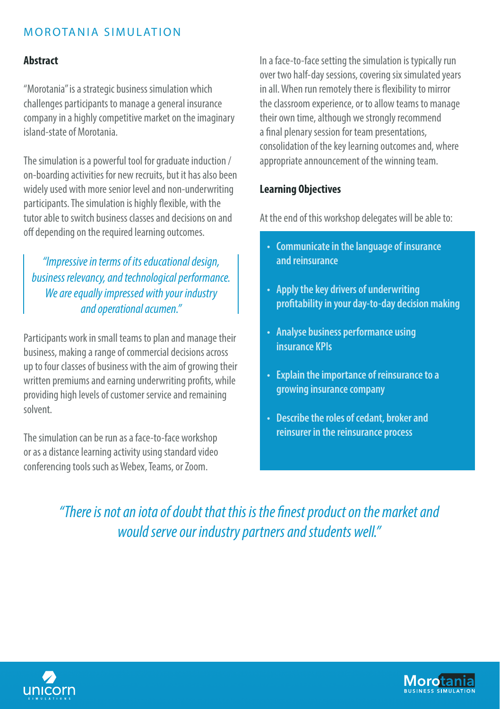#### M OROTANIA SIMULATION

#### **Abstract**

"Morotania" is a strategic business simulation which challenges participants to manage a general insurance company in a highly competitive market on the imaginary island-state of Morotania.

The simulation is a powerful tool for graduate induction / on-boarding activities for new recruits, but it has also been widely used with more senior level and non-underwriting participants. The simulation is highly flexible, with the tutor able to switch business classes and decisions on and off depending on the required learning outcomes.

*"Impressive in terms of its educational design, business relevancy, and technological performance. We are equally impressed with your industry and operational acumen."*

Participants work in small teams to plan and manage their business, making a range of commercial decisions across up to four classes of business with the aim of growing their written premiums and earning underwriting profits, while providing high levels of customer service and remaining solvent.

The simulation can be run as a face-to-face workshop or as a distance learning activity using standard video conferencing tools such as Webex, Teams, or Zoom.

In a face-to-face setting the simulation is typically run over two half-day sessions, covering six simulated years in all. When run remotely there is flexibility to mirror the classroom experience, or to allow teams to manage their own time, although we strongly recommend a final plenary session for team presentations, consolidation of the key learning outcomes and, where appropriate announcement of the winning team.

#### **Learning Objectives**

At the end of this workshop delegates will be able to:

- **• Communicate in the language of insurance and reinsurance**
- **• Apply the key drivers of underwriting profitability in your day-to-day decision making**
- **• Analyse business performance using insurance KPIs**
- **• Explain the importance of reinsurance to a growing insurance company**
- **• Describe the roles of cedant, broker and reinsurer in the reinsurance process**

*"There is not an iota of doubt that this is the finest product on the market and would serve our industry partners and students well."*



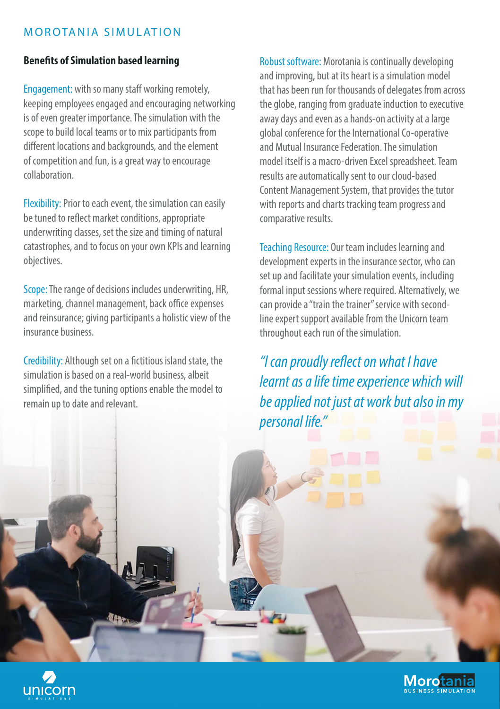#### M OROTANIA SIMULATION

#### **Benefits of Simulation based learning**

Engagement: with so many staff working remotely, keeping employees engaged and encouraging networking is of even greater importance. The simulation with the scope to build local teams or to mix participants from different locations and backgrounds, and the element of competition and fun, is a great way to encourage collaboration.

Flexibility: Prior to each event, the simulation can easily be tuned to reflect market conditions, appropriate underwriting classes, set the size and timing of natural catastrophes, and to focus on your own KPIs and learning objectives.

Scope: The range of decisions includes underwriting, HR, marketing, channel management, back office expenses and reinsurance; giving participants a holistic view of the insurance business.

Credibility: Although set on a fictitious island state, the simulation is based on a real-world business, albeit simplified, and the tuning options enable the model to remain up to date and relevant.

Robust software: Morotania is continually developing and improving, but at its heart is a simulation model that has been run for thousands of delegates from across the globe, ranging from graduate induction to executive away days and even as a hands-on activity at a large global conference for the International Co-operative and Mutual Insurance Federation. The simulation model itself is a macro-driven Excel spreadsheet. Team results are automatically sent to our cloud-based Content Management System, that provides the tutor with reports and charts tracking team progress and comparative results.

Teaching Resource: Our team includes learning and development experts in the insurance sector, who can set up and facilitate your simulation events, including formal input sessions where required. Alternatively, we can provide a "train the trainer" service with secondline expert support available from the Unicorn team throughout each run of the simulation.

*"I can proudly reflect on what I have learnt as a life time experience which will be applied not just at work but also in my personal life."*